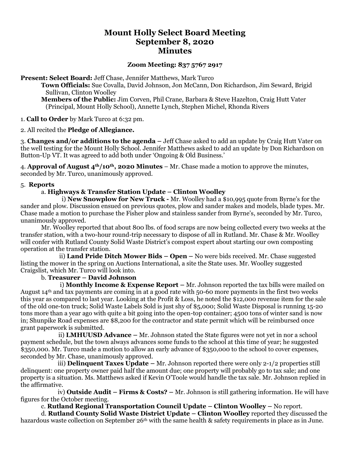# **Mount Holly Select Board Meeting September 8, 2020 Minutes**

### **Zoom Meeting: 837 5767 2917**

**Present: Select Board:** Jeff Chase, Jennifer Matthews, Mark Turco

**Town Officials:** Sue Covalla, David Johnson, Jon McCann, Don Richardson, Jim Seward, Brigid Sullivan, Clinton Woolley

**Members of the Public:** Jim Corven, Phil Crane, Barbara & Steve Hazelton, Craig Hutt Vater (Principal, Mount Holly School), Annette Lynch, Stephen Michel, Rhonda Rivers

1. **Call to Order** by Mark Turco at 6:32 pm.

#### 2. All recited the **Pledge of Allegiance.**

3. **Changes and/or additions to the agenda –** Jeff Chase asked to add an update by Craig Hutt Vater on the well testing for the Mount Holly School. Jennifer Matthews asked to add an update by Don Richardson on Button-Up VT. It was agreed to add both under 'Ongoing & Old Business.'

4. **Approval of August 4th/10th, 2020 Minutes** – Mr. Chase made a motion to approve the minutes, seconded by Mr. Turco, unanimously approved.

#### 5. **Reports**

#### a. **Highways & Transfer Station Update – Clinton Woolley**

i) **New Snowplow for New Truck -** Mr. Woolley had a \$10,995 quote from Byrne's for the sander and plow. Discussion ensued on previous quotes, plow and sander makes and models, blade types. Mr. Chase made a motion to purchase the Fisher plow and stainless sander from Byrne's, seconded by Mr. Turco, unanimously approved.

Mr. Woolley reported that about 800 lbs. of food scraps are now being collected every two weeks at the transfer station, with a two-hour round-trip necessary to dispose of all in Rutland. Mr. Chase & Mr. Woolley will confer with Rutland County Solid Waste District's compost expert about starting our own composting operation at the transfer station.

 ii) **Land Pride Ditch Mower Bids – Open –** No were bids received. Mr. Chase suggested listing the mower in the spring on Auctions International, a site the State uses. Mr. Woolley suggested Craigslist, which Mr. Turco will look into.

#### b. **Treasurer – David Johnson**

 i) **Monthly Income & Expense Report –** Mr. Johnson reported the tax bills were mailed on August  $14<sup>th</sup>$  and tax payments are coming in at a good rate with 50-60 more payments in the first two weeks this year as compared to last year. Looking at the Profit & Loss, he noted the \$12,000 revenue item for the sale of the old one-ton truck; Solid Waste Labels Sold is just shy of \$5,000; Solid Waste Disposal is running 15-20 tons more than a year ago with quite a bit going into the open-top container; 4500 tons of winter sand is now in; Shunpike Road expenses are \$8,200 for the contractor and state permit which will be reimbursed once grant paperwork is submitted.

 ii) **LMHUUSD Advance –** Mr. Johnson stated the State figures were not yet in nor a school payment schedule, but the town always advances some funds to the school at this time of year; he suggested \$350,000. Mr. Turco made a motion to allow an early advance of \$350,000 to the school to cover expenses, seconded by Mr. Chase, unanimously approved.

 iii) **Delinquent Taxes Update –** Mr. Johnson reported there were only 2-1/2 properties still delinquent: one property owner paid half the amount due; one property will probably go to tax sale; and one property is a situation. Ms. Matthews asked if Kevin O'Toole would handle the tax sale. Mr. Johnson replied in the affirmative.

 iv) **Outside Audit – Firms & Costs? –** Mr. Johnson is still gathering information. He will have figures for the October meeting.

c. **Rutland Regional Transportation Council Update – Clinton Woolley –** No report.

d. **Rutland County Solid Waste District Update – Clinton Woolley** reported they discussed the hazardous waste collection on September 26<sup>th</sup> with the same health & safety requirements in place as in June.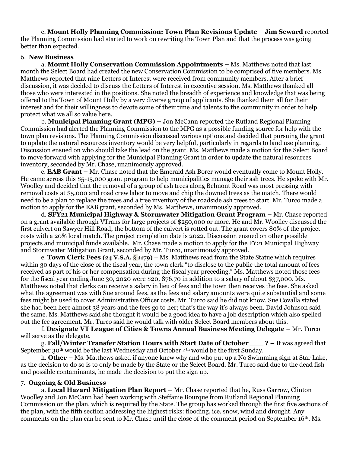e. **Mount Holly Planning Commission: Town Plan Revisions Update – Jim Seward** reported the Planning Commission had started to work on rewriting the Town Plan and that the process was going better than expected.

#### 6. **New Business**

a. **Mount Holly Conservation Commission Appointments –** Ms. Matthews noted that last month the Select Board had created the new Conservation Commission to be comprised of five members. Ms. Matthews reported that nine Letters of Interest were received from community members. After a brief discussion, it was decided to discuss the Letters of Interest in executive session. Ms. Matthews thanked all those who were interested in the positions. She noted the breadth of experience and knowledge that was being offered to the Town of Mount Holly by a very diverse group of applicants. She thanked them all for their interest and for their willingness to devote some of their time and talents to the community in order to help protect what we all so value here.

b. **Municipal Planning Grant (MPG) –** Jon McCann reported the Rutland Regional Planning Commission had alerted the Planning Commission to the MPG as a possible funding source for help with the town plan revisions. The Planning Commission discussed various options and decided that pursuing the grant to update the natural resources inventory would be very helpful, particularly in regards to land use planning. Discussion ensued on who should take the lead on the grant. Ms. Matthews made a motion for the Select Board to move forward with applying for the Municipal Planning Grant in order to update the natural resources inventory, seconded by Mr. Chase, unanimously approved.

c. **EAB Grant –** Mr. Chase noted that the Emerald Ash Borer would eventually come to Mount Holly. He came across this \$5-15,000 grant program to help municipalities manage their ash trees. He spoke with Mr. Woolley and decided that the removal of a group of ash trees along Belmont Road was most pressing with removal costs at \$5,000 and road crew labor to move and chip the downed trees as the match. There would need to be a plan to replace the trees and a tree inventory of the roadside ash trees to start. Mr. Turco made a motion to apply for the EAB grant, seconded by Ms. Matthews, unanimously approved.

d. **SFY21 Municipal Highway & Stormwater Mitigation Grant Program –** Mr. Chase reported on a grant available through VTrans for large projects of \$250,000 or more. He and Mr. Woolley discussed the first culvert on Sawyer Hill Road; the bottom of the culvert is rotted out. The grant covers 80% of the project costs with a 20% local match. The project completion date is 2022. Discussion ensued on other possible projects and municipal funds available. Mr. Chase made a motion to apply for the FY21 Municipal Highway and Stormwater Mitigation Grant, seconded by Mr. Turco, unanimously approved.

e. **Town Clerk Fees (24 V.S.A. § 1179) –** Ms. Matthews read from the State Statue which requires within 30 days of the close of the fiscal year, the town clerk "to disclose to the public the total amount of fees received as part of his or her compensation during the fiscal year preceding." Ms. Matthews noted those fees for the fiscal year ending June 30, 2020 were \$20, 876.70 in addition to a salary of about \$37,000. Ms. Matthews noted that clerks can receive a salary in lieu of fees and the town then receives the fees. She asked what the agreement was with Sue around fees, as the fees and salary amounts were quite substantial and some fees might be used to cover Administrative Officer costs. Mr. Turco said he did not know. Sue Covalla stated she had been here almost 38 years and the fees go to her; that's the way it's always been. David Johnson said the same. Ms. Matthews said she thought it would be a good idea to have a job description which also spelled out the fee agreement. Mr. Turco said he would talk with older Select Board members about this.

f. **Designate VT League of Cities & Towns Annual Business Meeting Delegate –** Mr. Turco will serve as the delegate.

g. **Fall/Winter Transfer Station Hours with Start Date of October \_\_\_ ? –** It was agreed that September 30<sup>th</sup> would be the last Wednesday and October  $4<sup>th</sup>$  would be the first Sunday.

h. **Other –** Ms. Matthews asked if anyone knew why and who put up a No Swimming sign at Star Lake, as the decision to do so is to only be made by the State or the Select Board. Mr. Turco said due to the dead fish and possible contaminants, he made the decision to put the sign up.

#### 7. **Ongoing & Old Business**

a. **Local Hazard Mitigation Plan Report –** Mr. Chase reported that he, Russ Garrow, Clinton Woolley and Jon McCann had been working with Steffanie Bourque from Rutland Regional Planning Commission on the plan, which is required by the State. The group has worked through the first five sections of the plan, with the fifth section addressing the highest risks: flooding, ice, snow, wind and drought. Any comments on the plan can be sent to Mr. Chase until the close of the comment period on September 16th. Ms.